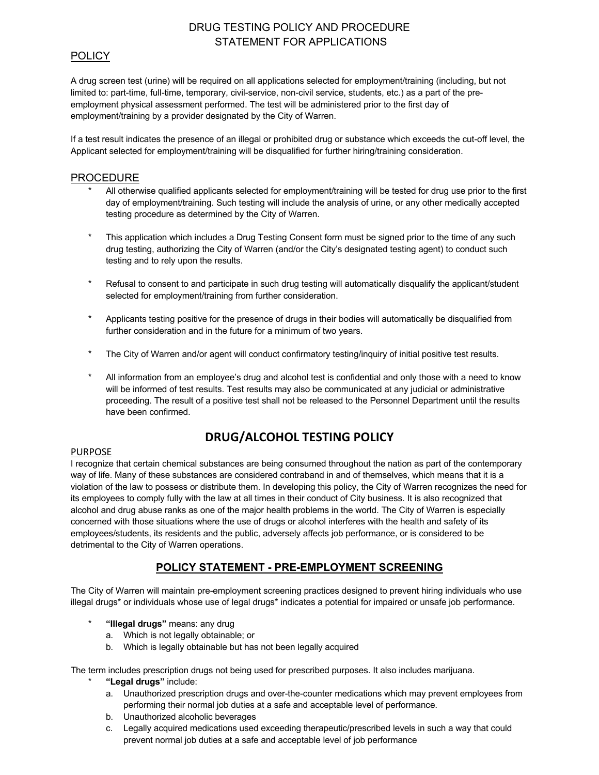# DRUG TESTING POLICY AND PROCEDURE STATEMENT FOR APPLICATIONS

### **POLICY**

A drug screen test (urine) will be required on all applications selected for employment/training (including, but not limited to: part-time, full-time, temporary, civil-service, non-civil service, students, etc.) as a part of the preemployment physical assessment performed. The test will be administered prior to the first day of employment/training by a provider designated by the City of Warren.

If a test result indicates the presence of an illegal or prohibited drug or substance which exceeds the cut-off level, the Applicant selected for employment/training will be disqualified for further hiring/training consideration.

### PROCEDURE

- All otherwise qualified applicants selected for employment/training will be tested for drug use prior to the first day of employment/training. Such testing will include the analysis of urine, or any other medically accepted testing procedure as determined by the City of Warren.
- \* This application which includes a Drug Testing Consent form must be signed prior to the time of any such drug testing, authorizing the City of Warren (and/or the City's designated testing agent) to conduct such testing and to rely upon the results.
- \* Refusal to consent to and participate in such drug testing will automatically disqualify the applicant/student selected for employment/training from further consideration.
- \* Applicants testing positive for the presence of drugs in their bodies will automatically be disqualified from further consideration and in the future for a minimum of two years.
- \* The City of Warren and/or agent will conduct confirmatory testing/inquiry of initial positive test results.
- All information from an employee's drug and alcohol test is confidential and only those with a need to know will be informed of test results. Test results may also be communicated at any judicial or administrative proceeding. The result of a positive test shall not be released to the Personnel Department until the results have been confirmed.

# **DRUG/ALCOHOL TESTING POLICY**

#### PURPOSE

I recognize that certain chemical substances are being consumed throughout the nation as part of the contemporary way of life. Many of these substances are considered contraband in and of themselves, which means that it is a violation of the law to possess or distribute them. In developing this policy, the City of Warren recognizes the need for its employees to comply fully with the law at all times in their conduct of City business. It is also recognized that alcohol and drug abuse ranks as one of the major health problems in the world. The City of Warren is especially concerned with those situations where the use of drugs or alcohol interferes with the health and safety of its employees/students, its residents and the public, adversely affects job performance, or is considered to be detrimental to the City of Warren operations.

# **POLICY STATEMENT - PRE-EMPLOYMENT SCREENING**

The City of Warren will maintain pre-employment screening practices designed to prevent hiring individuals who use illegal drugs\* or individuals whose use of legal drugs\* indicates a potential for impaired or unsafe job performance.

- \* **"Illegal drugs"** means: any drug
	- a. Which is not legally obtainable; or
	- b. Which is legally obtainable but has not been legally acquired

The term includes prescription drugs not being used for prescribed purposes. It also includes marijuana.

- \* **"Legal drugs"** include:
	- a. Unauthorized prescription drugs and over-the-counter medications which may prevent employees from performing their normal job duties at a safe and acceptable level of performance.
	- b. Unauthorized alcoholic beverages
	- c. Legally acquired medications used exceeding therapeutic/prescribed levels in such a way that could prevent normal job duties at a safe and acceptable level of job performance